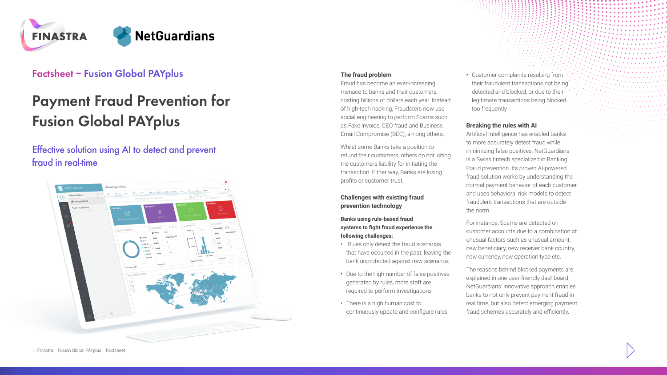

# **Factsheet – Fusion Global PAYplus**

# **Payment Fraud Prevention for Fusion Global PAYplus**

# Effective solution using AI to detect and prevent fraud in real-time



## **The fraud problem**

Fraud has become an ever-increasing menace to banks and their customers, costing billions of dollars each year. Instead of high-tech hacking, Fraudsters now use social engineering to perform Scams such as Fake invoice, CEO fraud and Business Email Compromise (BEC), among others.

Whilst some Banks take a position to refund their customers, others do not, citing the customers liability for initiating the transaction. Either way, Banks are losing profits or customer trust.

**Challenges with existing fraud prevention technology**

#### **Banks using rule-based fraud systems to fight fraud experience the following challenges:**

- Rules only detect the fraud scenarios that have occurred in the past, leaving the bank unprotected against new scenarios
- Due to the high number of false positives generated by rules, more staff are required to perform investigations
- There is a high human cost to continuously update and configure rules

• Customer complaints resulting from their fraudulent transactions not being detected and blocked, or due to their legitimate transactions being blocked too frequently

#### **Breaking the rules with AI**

Artificial Intelligence has enabled banks to more accurately detect fraud while minimizing false positives. NetGuardians is a Swiss fintech specialized in Banking Fraud prevention. Its proven AI-powered fraud solution works by understanding the normal payment behavior of each customer and uses behavioral risk models to detect fraudulent transactions that are outside the norm.

For instance, Scams are detected on customer accounts due to a combination of unusual factors such as unusual amount, new beneficiary, new receiver bank country, new currency, new operation type etc.

The reasons behind blocked payments are explained in one user-friendly dashboard. NetGuardians' innovative approach enables banks to not only prevent payment fraud in real time, but also detect emerging payment fraud schemes accurately and efficiently.